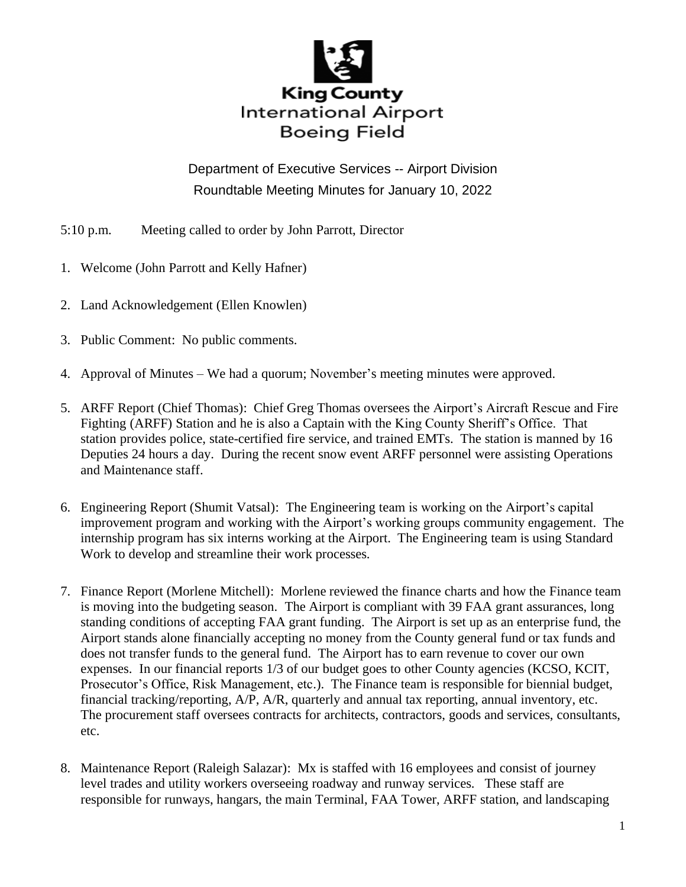

Department of Executive Services -- Airport Division Roundtable Meeting Minutes for January 10, 2022

- 5:10 p.m. Meeting called to order by John Parrott, Director
- 1. Welcome (John Parrott and Kelly Hafner)
- 2. Land Acknowledgement (Ellen Knowlen)
- 3. Public Comment: No public comments.
- 4. Approval of Minutes We had a quorum; November's meeting minutes were approved.
- 5. ARFF Report (Chief Thomas): Chief Greg Thomas oversees the Airport's Aircraft Rescue and Fire Fighting (ARFF) Station and he is also a Captain with the King County Sheriff's Office. That station provides police, state-certified fire service, and trained EMTs. The station is manned by 16 Deputies 24 hours a day. During the recent snow event ARFF personnel were assisting Operations and Maintenance staff.
- 6. Engineering Report (Shumit Vatsal): The Engineering team is working on the Airport's capital improvement program and working with the Airport's working groups community engagement. The internship program has six interns working at the Airport. The Engineering team is using Standard Work to develop and streamline their work processes.
- 7. Finance Report (Morlene Mitchell): Morlene reviewed the finance charts and how the Finance team is moving into the budgeting season. The Airport is compliant with 39 FAA grant assurances, long standing conditions of accepting FAA grant funding. The Airport is set up as an enterprise fund, the Airport stands alone financially accepting no money from the County general fund or tax funds and does not transfer funds to the general fund. The Airport has to earn revenue to cover our own expenses. In our financial reports 1/3 of our budget goes to other County agencies (KCSO, KCIT, Prosecutor's Office, Risk Management, etc.). The Finance team is responsible for biennial budget, financial tracking/reporting, A/P, A/R, quarterly and annual tax reporting, annual inventory, etc. The procurement staff oversees contracts for architects, contractors, goods and services, consultants, etc.
- 8. Maintenance Report (Raleigh Salazar): Mx is staffed with 16 employees and consist of journey level trades and utility workers overseeing roadway and runway services. These staff are responsible for runways, hangars, the main Terminal, FAA Tower, ARFF station, and landscaping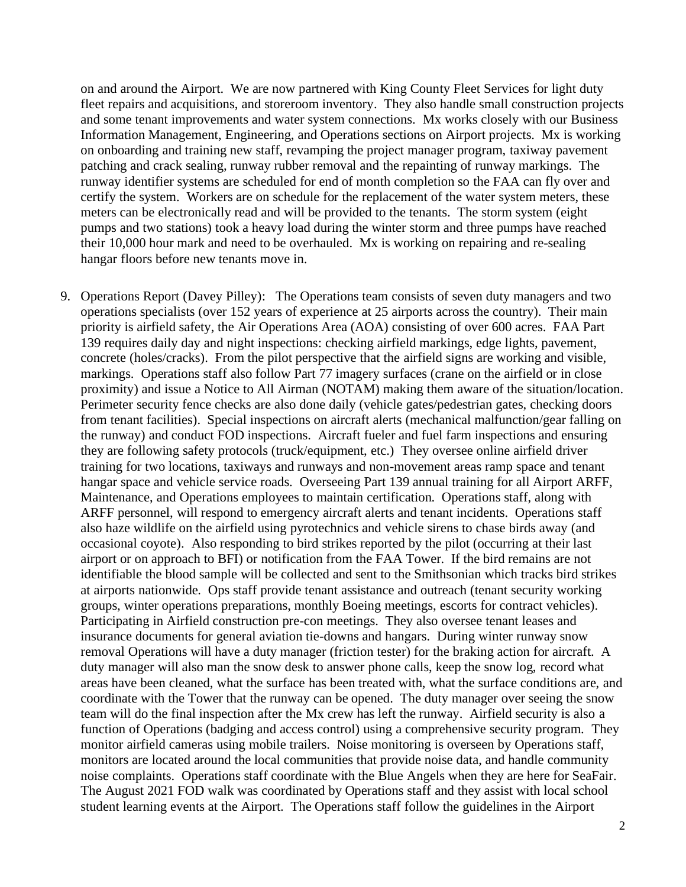on and around the Airport. We are now partnered with King County Fleet Services for light duty fleet repairs and acquisitions, and storeroom inventory. They also handle small construction projects and some tenant improvements and water system connections. Mx works closely with our Business Information Management, Engineering, and Operations sections on Airport projects. Mx is working on onboarding and training new staff, revamping the project manager program, taxiway pavement patching and crack sealing, runway rubber removal and the repainting of runway markings. The runway identifier systems are scheduled for end of month completion so the FAA can fly over and certify the system. Workers are on schedule for the replacement of the water system meters, these meters can be electronically read and will be provided to the tenants. The storm system (eight pumps and two stations) took a heavy load during the winter storm and three pumps have reached their 10,000 hour mark and need to be overhauled. Mx is working on repairing and re-sealing hangar floors before new tenants move in.

9. Operations Report (Davey Pilley): The Operations team consists of seven duty managers and two operations specialists (over 152 years of experience at 25 airports across the country). Their main priority is airfield safety, the Air Operations Area (AOA) consisting of over 600 acres. FAA Part 139 requires daily day and night inspections: checking airfield markings, edge lights, pavement, concrete (holes/cracks). From the pilot perspective that the airfield signs are working and visible, markings. Operations staff also follow Part 77 imagery surfaces (crane on the airfield or in close proximity) and issue a Notice to All Airman (NOTAM) making them aware of the situation/location. Perimeter security fence checks are also done daily (vehicle gates/pedestrian gates, checking doors from tenant facilities). Special inspections on aircraft alerts (mechanical malfunction/gear falling on the runway) and conduct FOD inspections. Aircraft fueler and fuel farm inspections and ensuring they are following safety protocols (truck/equipment, etc.) They oversee online airfield driver training for two locations, taxiways and runways and non-movement areas ramp space and tenant hangar space and vehicle service roads. Overseeing Part 139 annual training for all Airport ARFF, Maintenance, and Operations employees to maintain certification. Operations staff, along with ARFF personnel, will respond to emergency aircraft alerts and tenant incidents. Operations staff also haze wildlife on the airfield using pyrotechnics and vehicle sirens to chase birds away (and occasional coyote). Also responding to bird strikes reported by the pilot (occurring at their last airport or on approach to BFI) or notification from the FAA Tower. If the bird remains are not identifiable the blood sample will be collected and sent to the Smithsonian which tracks bird strikes at airports nationwide. Ops staff provide tenant assistance and outreach (tenant security working groups, winter operations preparations, monthly Boeing meetings, escorts for contract vehicles). Participating in Airfield construction pre-con meetings. They also oversee tenant leases and insurance documents for general aviation tie-downs and hangars. During winter runway snow removal Operations will have a duty manager (friction tester) for the braking action for aircraft. A duty manager will also man the snow desk to answer phone calls, keep the snow log, record what areas have been cleaned, what the surface has been treated with, what the surface conditions are, and coordinate with the Tower that the runway can be opened. The duty manager over seeing the snow team will do the final inspection after the Mx crew has left the runway. Airfield security is also a function of Operations (badging and access control) using a comprehensive security program. They monitor airfield cameras using mobile trailers. Noise monitoring is overseen by Operations staff, monitors are located around the local communities that provide noise data, and handle community noise complaints. Operations staff coordinate with the Blue Angels when they are here for SeaFair. The August 2021 FOD walk was coordinated by Operations staff and they assist with local school student learning events at the Airport. The Operations staff follow the guidelines in the Airport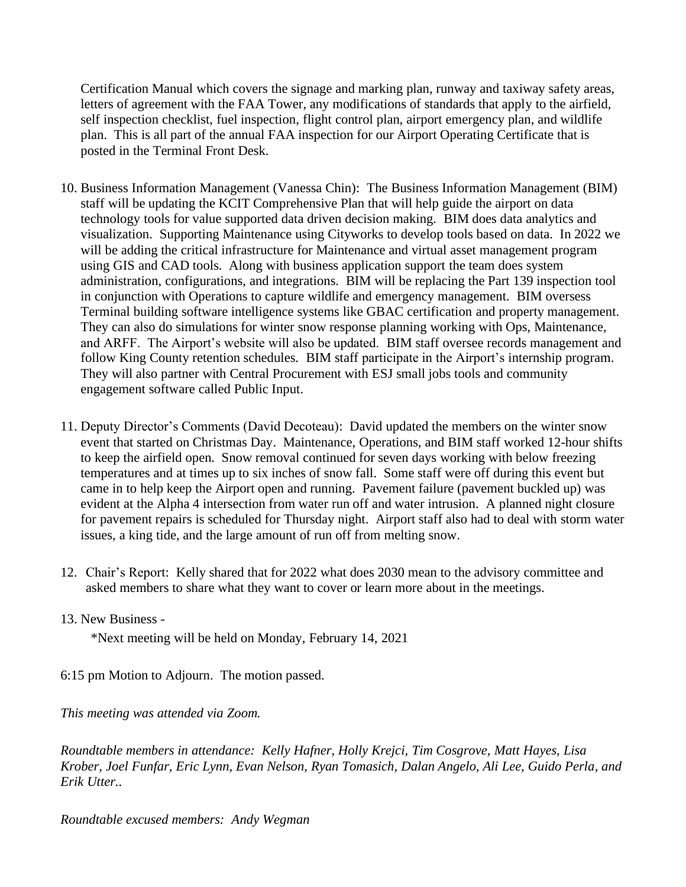Certification Manual which covers the signage and marking plan, runway and taxiway safety areas, letters of agreement with the FAA Tower, any modifications of standards that apply to the airfield, self inspection checklist, fuel inspection, flight control plan, airport emergency plan, and wildlife plan. This is all part of the annual FAA inspection for our Airport Operating Certificate that is posted in the Terminal Front Desk.

- 10. Business Information Management (Vanessa Chin): The Business Information Management (BIM) staff will be updating the KCIT Comprehensive Plan that will help guide the airport on data technology tools for value supported data driven decision making. BIM does data analytics and visualization. Supporting Maintenance using Cityworks to develop tools based on data. In 2022 we will be adding the critical infrastructure for Maintenance and virtual asset management program using GIS and CAD tools. Along with business application support the team does system administration, configurations, and integrations. BIM will be replacing the Part 139 inspection tool in conjunction with Operations to capture wildlife and emergency management. BIM oversess Terminal building software intelligence systems like GBAC certification and property management. They can also do simulations for winter snow response planning working with Ops, Maintenance, and ARFF. The Airport's website will also be updated. BIM staff oversee records management and follow King County retention schedules. BIM staff participate in the Airport's internship program. They will also partner with Central Procurement with ESJ small jobs tools and community engagement software called Public Input.
- 11. Deputy Director's Comments (David Decoteau): David updated the members on the winter snow event that started on Christmas Day. Maintenance, Operations, and BIM staff worked 12-hour shifts to keep the airfield open. Snow removal continued for seven days working with below freezing temperatures and at times up to six inches of snow fall. Some staff were off during this event but came in to help keep the Airport open and running. Pavement failure (pavement buckled up) was evident at the Alpha 4 intersection from water run off and water intrusion. A planned night closure for pavement repairs is scheduled for Thursday night. Airport staff also had to deal with storm water issues, a king tide, and the large amount of run off from melting snow.
- 12. Chair's Report: Kelly shared that for 2022 what does 2030 mean to the advisory committee and asked members to share what they want to cover or learn more about in the meetings.
- 13. New Business -

\*Next meeting will be held on Monday, February 14, 2021

6:15 pm Motion to Adjourn. The motion passed.

*This meeting was attended via Zoom.*

*Roundtable members in attendance: Kelly Hafner, Holly Krejci, Tim Cosgrove, Matt Hayes, Lisa Krober, Joel Funfar, Eric Lynn, Evan Nelson, Ryan Tomasich, Dalan Angelo, Ali Lee, Guido Perla, and Erik Utter..*

*Roundtable excused members: Andy Wegman*